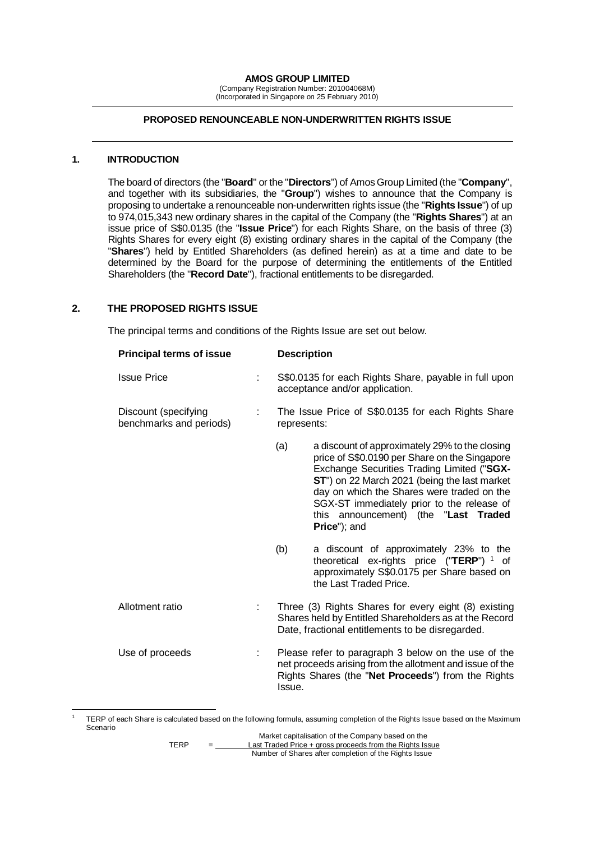**AMOS GROUP LIMITED**

(Company Registration Number: 201004068M) (Incorporated in Singapore on 25 February 2010)

#### **PROPOSED RENOUNCEABLE NON-UNDERWRITTEN RIGHTS ISSUE**

#### **1. INTRODUCTION**

-

The board of directors (the "**Board**" or the "**Directors**") of Amos Group Limited (the "**Company**", and together with its subsidiaries, the "**Group**") wishes to announce that the Company is proposing to undertake a renounceable non-underwritten rights issue (the "**Rights Issue**") of up to 974,015,343 new ordinary shares in the capital of the Company (the "**Rights Shares**") at an issue price of S\$0.0135 (the "**Issue Price**") for each Rights Share, on the basis of three (3) Rights Shares for every eight (8) existing ordinary shares in the capital of the Company (the "**Shares**") held by Entitled Shareholders (as defined herein) as at a time and date to be determined by the Board for the purpose of determining the entitlements of the Entitled Shareholders (the "**Record Date**"), fractional entitlements to be disregarded.

#### **2. THE PROPOSED RIGHTS ISSUE**

The principal terms and conditions of the Rights Issue are set out below.

| <b>Principal terms of issue</b>                 | <b>Description</b>                                                                                                                                                |                                                                                                                                                                                                                                                                                                                                                   |  |
|-------------------------------------------------|-------------------------------------------------------------------------------------------------------------------------------------------------------------------|---------------------------------------------------------------------------------------------------------------------------------------------------------------------------------------------------------------------------------------------------------------------------------------------------------------------------------------------------|--|
| <b>Issue Price</b>                              | S\$0.0135 for each Rights Share, payable in full upon<br>acceptance and/or application.                                                                           |                                                                                                                                                                                                                                                                                                                                                   |  |
| Discount (specifying<br>benchmarks and periods) |                                                                                                                                                                   | The Issue Price of S\$0.0135 for each Rights Share<br>represents:                                                                                                                                                                                                                                                                                 |  |
|                                                 | (a)                                                                                                                                                               | a discount of approximately 29% to the closing<br>price of S\$0.0190 per Share on the Singapore<br>Exchange Securities Trading Limited ("SGX-<br>ST") on 22 March 2021 (being the last market<br>day on which the Shares were traded on the<br>SGX-ST immediately prior to the release of<br>this announcement) (the "Last Traded<br>Price"); and |  |
|                                                 | (b)                                                                                                                                                               | a discount of approximately 23% to the<br>theoretical ex-rights price ("TERP") $1$ of<br>approximately S\$0.0175 per Share based on<br>the Last Traded Price.                                                                                                                                                                                     |  |
| Allotment ratio                                 | Three (3) Rights Shares for every eight (8) existing<br>Shares held by Entitled Shareholders as at the Record<br>Date, fractional entitlements to be disregarded. |                                                                                                                                                                                                                                                                                                                                                   |  |
| Use of proceeds                                 | Issue.                                                                                                                                                            | Please refer to paragraph 3 below on the use of the<br>net proceeds arising from the allotment and issue of the<br>Rights Shares (the "Net Proceeds") from the Rights                                                                                                                                                                             |  |

<sup>1</sup> TERP of each Share is calculated based on the following formula, assuming completion of the Rights Issue based on the Maximum Scenario

Market capitalisation of the Company based on the TERP = Last Traded Price + gross proceeds from the Rights Issue Number of Shares after completion of the Rights Issue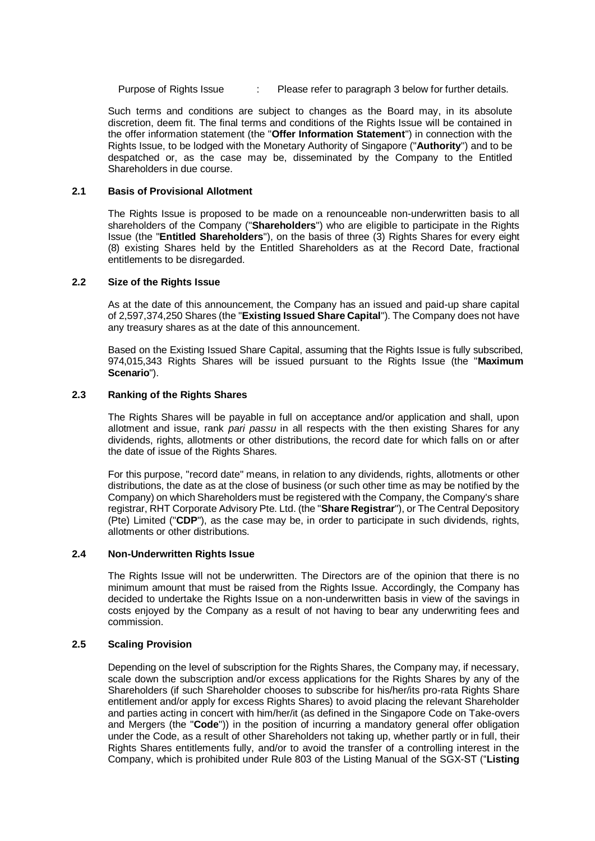Purpose of Rights Issue : Please refer to paragraph [3](#page-2-0) below for further details.

Such terms and conditions are subject to changes as the Board may, in its absolute discretion, deem fit. The final terms and conditions of the Rights Issue will be contained in the offer information statement (the "**Offer Information Statement**") in connection with the Rights Issue, to be lodged with the Monetary Authority of Singapore ("**Authority**") and to be despatched or, as the case may be, disseminated by the Company to the Entitled Shareholders in due course.

## **2.1 Basis of Provisional Allotment**

The Rights Issue is proposed to be made on a renounceable non-underwritten basis to all shareholders of the Company ("**Shareholders**") who are eligible to participate in the Rights Issue (the "**Entitled Shareholders**"), on the basis of three (3) Rights Shares for every eight (8) existing Shares held by the Entitled Shareholders as at the Record Date, fractional entitlements to be disregarded.

## **2.2 Size of the Rights Issue**

As at the date of this announcement, the Company has an issued and paid-up share capital of 2,597,374,250 Shares (the "**Existing Issued Share Capital**"). The Company does not have any treasury shares as at the date of this announcement.

Based on the Existing Issued Share Capital, assuming that the Rights Issue is fully subscribed, 974,015,343 Rights Shares will be issued pursuant to the Rights Issue (the "**Maximum Scenario**").

## **2.3 Ranking of the Rights Shares**

The Rights Shares will be payable in full on acceptance and/or application and shall, upon allotment and issue, rank *pari passu* in all respects with the then existing Shares for any dividends, rights, allotments or other distributions, the record date for which falls on or after the date of issue of the Rights Shares.

For this purpose, "record date" means, in relation to any dividends, rights, allotments or other distributions, the date as at the close of business (or such other time as may be notified by the Company) on which Shareholders must be registered with the Company, the Company's share registrar, RHT Corporate Advisory Pte. Ltd. (the "**Share Registrar**"), or The Central Depository (Pte) Limited ("**CDP**"), as the case may be, in order to participate in such dividends, rights, allotments or other distributions.

## **2.4 Non-Underwritten Rights Issue**

The Rights Issue will not be underwritten. The Directors are of the opinion that there is no minimum amount that must be raised from the Rights Issue. Accordingly, the Company has decided to undertake the Rights Issue on a non-underwritten basis in view of the savings in costs enjoyed by the Company as a result of not having to bear any underwriting fees and commission.

#### **2.5 Scaling Provision**

Depending on the level of subscription for the Rights Shares, the Company may, if necessary, scale down the subscription and/or excess applications for the Rights Shares by any of the Shareholders (if such Shareholder chooses to subscribe for his/her/its pro-rata Rights Share entitlement and/or apply for excess Rights Shares) to avoid placing the relevant Shareholder and parties acting in concert with him/her/it (as defined in the Singapore Code on Take-overs and Mergers (the "**Code**")) in the position of incurring a mandatory general offer obligation under the Code, as a result of other Shareholders not taking up, whether partly or in full, their Rights Shares entitlements fully, and/or to avoid the transfer of a controlling interest in the Company, which is prohibited under Rule 803 of the Listing Manual of the SGX-ST ("**Listing**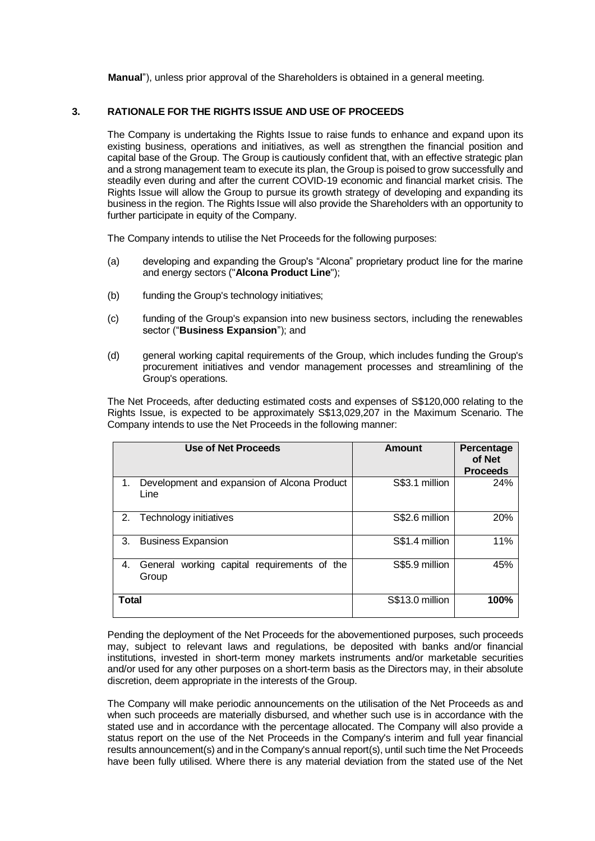**Manual**"), unless prior approval of the Shareholders is obtained in a general meeting.

## <span id="page-2-0"></span>**3. RATIONALE FOR THE RIGHTS ISSUE AND USE OF PROCEEDS**

The Company is undertaking the Rights Issue to raise funds to enhance and expand upon its existing business, operations and initiatives, as well as strengthen the financial position and capital base of the Group. The Group is cautiously confident that, with an effective strategic plan and a strong management team to execute its plan, the Group is poised to grow successfully and steadily even during and after the current COVID-19 economic and financial market crisis. The Rights Issue will allow the Group to pursue its growth strategy of developing and expanding its business in the region. The Rights Issue will also provide the Shareholders with an opportunity to further participate in equity of the Company.

The Company intends to utilise the Net Proceeds for the following purposes:

- (a) developing and expanding the Group's "Alcona" proprietary product line for the marine and energy sectors ("**Alcona Product Line**");
- (b) funding the Group's technology initiatives;
- (c) funding of the Group's expansion into new business sectors, including the renewables sector ("**Business Expansion**"); and
- (d) general working capital requirements of the Group, which includes funding the Group's procurement initiatives and vendor management processes and streamlining of the Group's operations.

The Net Proceeds, after deducting estimated costs and expenses of S\$120,000 relating to the Rights Issue, is expected to be approximately S\$13,029,207 in the Maximum Scenario. The Company intends to use the Net Proceeds in the following manner:

| Use of Net Proceeds                                           | Amount          | Percentage<br>of Net<br><b>Proceeds</b> |
|---------------------------------------------------------------|-----------------|-----------------------------------------|
| Development and expansion of Alcona Product<br>1.<br>Line     | S\$3.1 million  | 24%                                     |
| Technology initiatives<br>2.                                  | S\$2.6 million  | 20%                                     |
| 3.<br><b>Business Expansion</b>                               | S\$1.4 million  | 11%                                     |
| working capital requirements of the<br>4.<br>General<br>Group | S\$5.9 million  | 45%                                     |
| <b>Total</b>                                                  | S\$13.0 million | 100%                                    |

Pending the deployment of the Net Proceeds for the abovementioned purposes, such proceeds may, subject to relevant laws and regulations, be deposited with banks and/or financial institutions, invested in short-term money markets instruments and/or marketable securities and/or used for any other purposes on a short-term basis as the Directors may, in their absolute discretion, deem appropriate in the interests of the Group.

The Company will make periodic announcements on the utilisation of the Net Proceeds as and when such proceeds are materially disbursed, and whether such use is in accordance with the stated use and in accordance with the percentage allocated. The Company will also provide a status report on the use of the Net Proceeds in the Company's interim and full year financial results announcement(s) and in the Company's annual report(s), until such time the Net Proceeds have been fully utilised. Where there is any material deviation from the stated use of the Net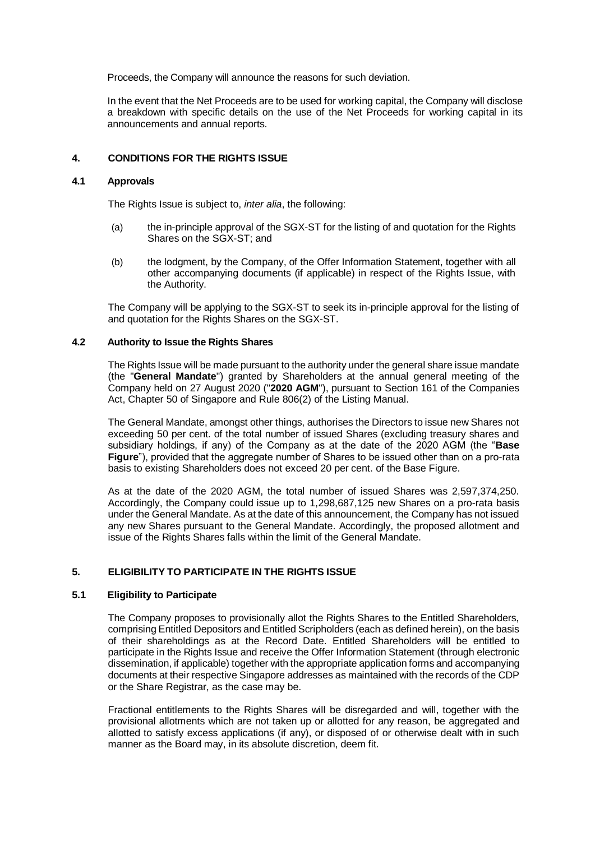Proceeds, the Company will announce the reasons for such deviation.

In the event that the Net Proceeds are to be used for working capital, the Company will disclose a breakdown with specific details on the use of the Net Proceeds for working capital in its announcements and annual reports.

## **4. CONDITIONS FOR THE RIGHTS ISSUE**

## **4.1 Approvals**

The Rights Issue is subject to, *inter alia*, the following:

- (a) the in-principle approval of the SGX-ST for the listing of and quotation for the Rights Shares on the SGX-ST; and
- (b) the lodgment, by the Company, of the Offer Information Statement, together with all other accompanying documents (if applicable) in respect of the Rights Issue, with the Authority.

The Company will be applying to the SGX-ST to seek its in-principle approval for the listing of and quotation for the Rights Shares on the SGX-ST.

#### **4.2 Authority to Issue the Rights Shares**

The Rights Issue will be made pursuant to the authority under the general share issue mandate (the "**General Mandate**") granted by Shareholders at the annual general meeting of the Company held on 27 August 2020 ("**2020 AGM**"), pursuant to Section 161 of the Companies Act, Chapter 50 of Singapore and Rule 806(2) of the Listing Manual.

The General Mandate, amongst other things, authorises the Directors to issue new Shares not exceeding 50 per cent. of the total number of issued Shares (excluding treasury shares and subsidiary holdings, if any) of the Company as at the date of the 2020 AGM (the "**Base Figure**"), provided that the aggregate number of Shares to be issued other than on a pro-rata basis to existing Shareholders does not exceed 20 per cent. of the Base Figure.

As at the date of the 2020 AGM, the total number of issued Shares was 2,597,374,250. Accordingly, the Company could issue up to 1,298,687,125 new Shares on a pro-rata basis under the General Mandate. As at the date of this announcement, the Company has not issued any new Shares pursuant to the General Mandate. Accordingly, the proposed allotment and issue of the Rights Shares falls within the limit of the General Mandate.

#### **5. ELIGIBILITY TO PARTICIPATE IN THE RIGHTS ISSUE**

### **5.1 Eligibility to Participate**

The Company proposes to provisionally allot the Rights Shares to the Entitled Shareholders, comprising Entitled Depositors and Entitled Scripholders (each as defined herein), on the basis of their shareholdings as at the Record Date. Entitled Shareholders will be entitled to participate in the Rights Issue and receive the Offer Information Statement (through electronic dissemination, if applicable) together with the appropriate application forms and accompanying documents at their respective Singapore addresses as maintained with the records of the CDP or the Share Registrar, as the case may be.

Fractional entitlements to the Rights Shares will be disregarded and will, together with the provisional allotments which are not taken up or allotted for any reason, be aggregated and allotted to satisfy excess applications (if any), or disposed of or otherwise dealt with in such manner as the Board may, in its absolute discretion, deem fit.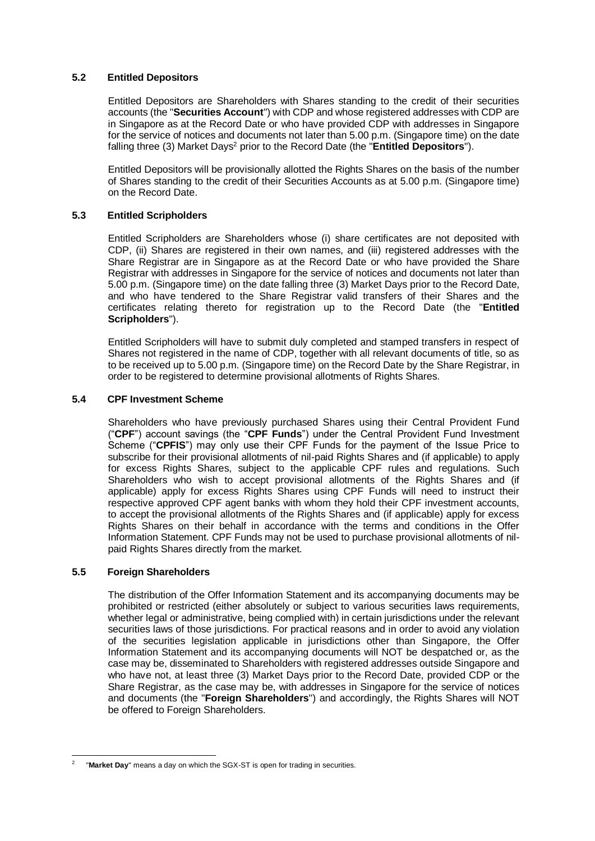## **5.2 Entitled Depositors**

Entitled Depositors are Shareholders with Shares standing to the credit of their securities accounts (the "**Securities Account**") with CDP and whose registered addresses with CDP are in Singapore as at the Record Date or who have provided CDP with addresses in Singapore for the service of notices and documents not later than 5.00 p.m. (Singapore time) on the date falling three (3) Market Days<sup>2</sup> prior to the Record Date (the "**Entitled Depositors**").

Entitled Depositors will be provisionally allotted the Rights Shares on the basis of the number of Shares standing to the credit of their Securities Accounts as at 5.00 p.m. (Singapore time) on the Record Date.

## **5.3 Entitled Scripholders**

Entitled Scripholders are Shareholders whose (i) share certificates are not deposited with CDP, (ii) Shares are registered in their own names, and (iii) registered addresses with the Share Registrar are in Singapore as at the Record Date or who have provided the Share Registrar with addresses in Singapore for the service of notices and documents not later than 5.00 p.m. (Singapore time) on the date falling three (3) Market Days prior to the Record Date, and who have tendered to the Share Registrar valid transfers of their Shares and the certificates relating thereto for registration up to the Record Date (the "**Entitled Scripholders**").

Entitled Scripholders will have to submit duly completed and stamped transfers in respect of Shares not registered in the name of CDP, together with all relevant documents of title, so as to be received up to 5.00 p.m. (Singapore time) on the Record Date by the Share Registrar, in order to be registered to determine provisional allotments of Rights Shares.

#### **5.4 CPF Investment Scheme**

Shareholders who have previously purchased Shares using their Central Provident Fund ("**CPF**") account savings (the "**CPF Funds**") under the Central Provident Fund Investment Scheme ("**CPFIS**") may only use their CPF Funds for the payment of the Issue Price to subscribe for their provisional allotments of nil-paid Rights Shares and (if applicable) to apply for excess Rights Shares, subject to the applicable CPF rules and regulations. Such Shareholders who wish to accept provisional allotments of the Rights Shares and (if applicable) apply for excess Rights Shares using CPF Funds will need to instruct their respective approved CPF agent banks with whom they hold their CPF investment accounts, to accept the provisional allotments of the Rights Shares and (if applicable) apply for excess Rights Shares on their behalf in accordance with the terms and conditions in the Offer Information Statement. CPF Funds may not be used to purchase provisional allotments of nilpaid Rights Shares directly from the market.

#### **5.5 Foreign Shareholders**

The distribution of the Offer Information Statement and its accompanying documents may be prohibited or restricted (either absolutely or subject to various securities laws requirements, whether legal or administrative, being complied with) in certain jurisdictions under the relevant securities laws of those jurisdictions. For practical reasons and in order to avoid any violation of the securities legislation applicable in jurisdictions other than Singapore, the Offer Information Statement and its accompanying documents will NOT be despatched or, as the case may be, disseminated to Shareholders with registered addresses outside Singapore and who have not, at least three (3) Market Days prior to the Record Date, provided CDP or the Share Registrar, as the case may be, with addresses in Singapore for the service of notices and documents (the "**Foreign Shareholders**") and accordingly, the Rights Shares will NOT be offered to Foreign Shareholders.

<sup>-</sup>2 "**Market Day**" means a day on which the SGX-ST is open for trading in securities.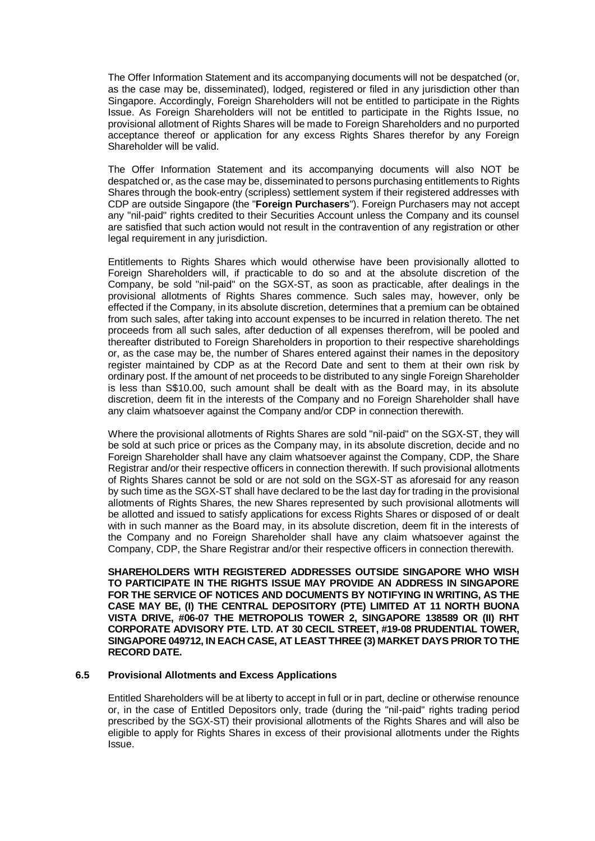The Offer Information Statement and its accompanying documents will not be despatched (or, as the case may be, disseminated), lodged, registered or filed in any jurisdiction other than Singapore. Accordingly, Foreign Shareholders will not be entitled to participate in the Rights Issue. As Foreign Shareholders will not be entitled to participate in the Rights Issue, no provisional allotment of Rights Shares will be made to Foreign Shareholders and no purported acceptance thereof or application for any excess Rights Shares therefor by any Foreign Shareholder will be valid.

The Offer Information Statement and its accompanying documents will also NOT be despatched or, as the case may be, disseminated to persons purchasing entitlements to Rights Shares through the book-entry (scripless) settlement system if their registered addresses with CDP are outside Singapore (the "**Foreign Purchasers**"). Foreign Purchasers may not accept any "nil-paid" rights credited to their Securities Account unless the Company and its counsel are satisfied that such action would not result in the contravention of any registration or other legal requirement in any jurisdiction.

Entitlements to Rights Shares which would otherwise have been provisionally allotted to Foreign Shareholders will, if practicable to do so and at the absolute discretion of the Company, be sold "nil-paid" on the SGX-ST, as soon as practicable, after dealings in the provisional allotments of Rights Shares commence. Such sales may, however, only be effected if the Company, in its absolute discretion, determines that a premium can be obtained from such sales, after taking into account expenses to be incurred in relation thereto. The net proceeds from all such sales, after deduction of all expenses therefrom, will be pooled and thereafter distributed to Foreign Shareholders in proportion to their respective shareholdings or, as the case may be, the number of Shares entered against their names in the depository register maintained by CDP as at the Record Date and sent to them at their own risk by ordinary post. If the amount of net proceeds to be distributed to any single Foreign Shareholder is less than S\$10.00, such amount shall be dealt with as the Board may, in its absolute discretion, deem fit in the interests of the Company and no Foreign Shareholder shall have any claim whatsoever against the Company and/or CDP in connection therewith.

Where the provisional allotments of Rights Shares are sold "nil-paid" on the SGX-ST, they will be sold at such price or prices as the Company may, in its absolute discretion, decide and no Foreign Shareholder shall have any claim whatsoever against the Company, CDP, the Share Registrar and/or their respective officers in connection therewith. If such provisional allotments of Rights Shares cannot be sold or are not sold on the SGX-ST as aforesaid for any reason by such time as the SGX-ST shall have declared to be the last day for trading in the provisional allotments of Rights Shares, the new Shares represented by such provisional allotments will be allotted and issued to satisfy applications for excess Rights Shares or disposed of or dealt with in such manner as the Board may, in its absolute discretion, deem fit in the interests of the Company and no Foreign Shareholder shall have any claim whatsoever against the Company, CDP, the Share Registrar and/or their respective officers in connection therewith.

**SHAREHOLDERS WITH REGISTERED ADDRESSES OUTSIDE SINGAPORE WHO WISH TO PARTICIPATE IN THE RIGHTS ISSUE MAY PROVIDE AN ADDRESS IN SINGAPORE FOR THE SERVICE OF NOTICES AND DOCUMENTS BY NOTIFYING IN WRITING, AS THE CASE MAY BE, (I) THE CENTRAL DEPOSITORY (PTE) LIMITED AT 11 NORTH BUONA VISTA DRIVE, #06-07 THE METROPOLIS TOWER 2, SINGAPORE 138589 OR (II) RHT CORPORATE ADVISORY PTE. LTD. AT 30 CECIL STREET, #19-08 PRUDENTIAL TOWER, SINGAPORE 049712, IN EACH CASE, AT LEAST THREE (3) MARKET DAYS PRIOR TO THE RECORD DATE.**

#### **6.5 Provisional Allotments and Excess Applications**

Entitled Shareholders will be at liberty to accept in full or in part, decline or otherwise renounce or, in the case of Entitled Depositors only, trade (during the "nil-paid" rights trading period prescribed by the SGX-ST) their provisional allotments of the Rights Shares and will also be eligible to apply for Rights Shares in excess of their provisional allotments under the Rights Issue.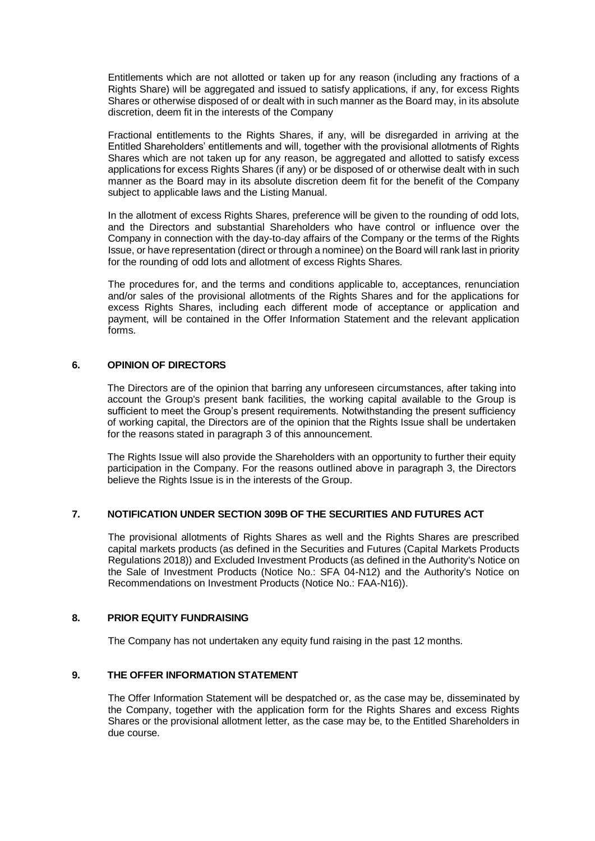Entitlements which are not allotted or taken up for any reason (including any fractions of a Rights Share) will be aggregated and issued to satisfy applications, if any, for excess Rights Shares or otherwise disposed of or dealt with in such manner as the Board may, in its absolute discretion, deem fit in the interests of the Company

Fractional entitlements to the Rights Shares, if any, will be disregarded in arriving at the Entitled Shareholders' entitlements and will, together with the provisional allotments of Rights Shares which are not taken up for any reason, be aggregated and allotted to satisfy excess applications for excess Rights Shares (if any) or be disposed of or otherwise dealt with in such manner as the Board may in its absolute discretion deem fit for the benefit of the Company subject to applicable laws and the Listing Manual.

In the allotment of excess Rights Shares, preference will be given to the rounding of odd lots, and the Directors and substantial Shareholders who have control or influence over the Company in connection with the day-to-day affairs of the Company or the terms of the Rights Issue, or have representation (direct or through a nominee) on the Board will rank last in priority for the rounding of odd lots and allotment of excess Rights Shares.

The procedures for, and the terms and conditions applicable to, acceptances, renunciation and/or sales of the provisional allotments of the Rights Shares and for the applications for excess Rights Shares, including each different mode of acceptance or application and payment, will be contained in the Offer Information Statement and the relevant application forms.

#### **6. OPINION OF DIRECTORS**

The Directors are of the opinion that barring any unforeseen circumstances, after taking into account the Group's present bank facilities, the working capital available to the Group is sufficient to meet the Group's present requirements. Notwithstanding the present sufficiency of working capital, the Directors are of the opinion that the Rights Issue shall be undertaken for the reasons stated in paragraph 3 of this announcement.

The Rights Issue will also provide the Shareholders with an opportunity to further their equity participation in the Company. For the reasons outlined above in paragraph [3,](#page-2-0) the Directors believe the Rights Issue is in the interests of the Group.

#### **7. NOTIFICATION UNDER SECTION 309B OF THE SECURITIES AND FUTURES ACT**

The provisional allotments of Rights Shares as well and the Rights Shares are prescribed capital markets products (as defined in the Securities and Futures (Capital Markets Products Regulations 2018)) and Excluded Investment Products (as defined in the Authority's Notice on the Sale of Investment Products (Notice No.: SFA 04-N12) and the Authority's Notice on Recommendations on Investment Products (Notice No.: FAA-N16)).

## **8. PRIOR EQUITY FUNDRAISING**

The Company has not undertaken any equity fund raising in the past 12 months.

## **9. THE OFFER INFORMATION STATEMENT**

The Offer Information Statement will be despatched or, as the case may be, disseminated by the Company, together with the application form for the Rights Shares and excess Rights Shares or the provisional allotment letter, as the case may be, to the Entitled Shareholders in due course.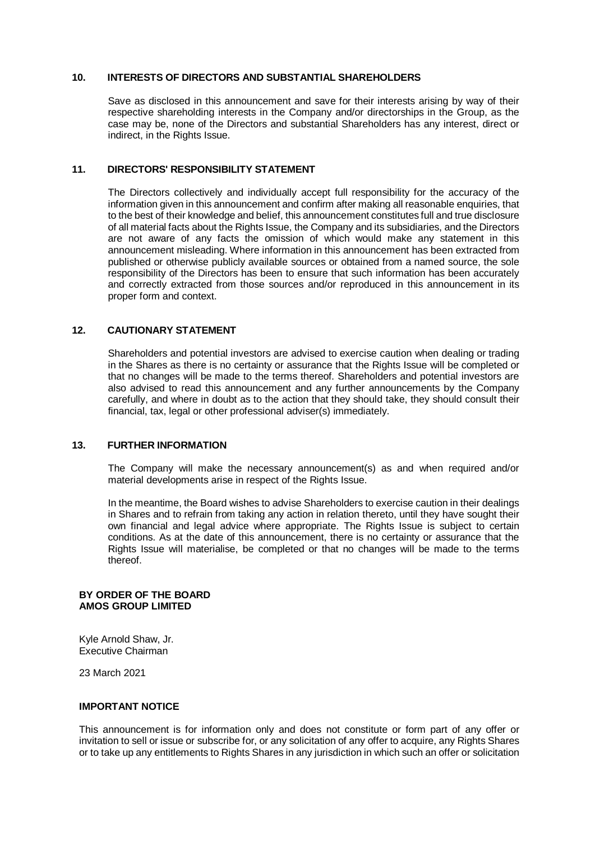#### **10. INTERESTS OF DIRECTORS AND SUBSTANTIAL SHAREHOLDERS**

Save as disclosed in this announcement and save for their interests arising by way of their respective shareholding interests in the Company and/or directorships in the Group, as the case may be, none of the Directors and substantial Shareholders has any interest, direct or indirect, in the Rights Issue.

### **11. DIRECTORS' RESPONSIBILITY STATEMENT**

The Directors collectively and individually accept full responsibility for the accuracy of the information given in this announcement and confirm after making all reasonable enquiries, that to the best of their knowledge and belief, this announcement constitutes full and true disclosure of all material facts about the Rights Issue, the Company and its subsidiaries, and the Directors are not aware of any facts the omission of which would make any statement in this announcement misleading. Where information in this announcement has been extracted from published or otherwise publicly available sources or obtained from a named source, the sole responsibility of the Directors has been to ensure that such information has been accurately and correctly extracted from those sources and/or reproduced in this announcement in its proper form and context.

## **12. CAUTIONARY STATEMENT**

Shareholders and potential investors are advised to exercise caution when dealing or trading in the Shares as there is no certainty or assurance that the Rights Issue will be completed or that no changes will be made to the terms thereof. Shareholders and potential investors are also advised to read this announcement and any further announcements by the Company carefully, and where in doubt as to the action that they should take, they should consult their financial, tax, legal or other professional adviser(s) immediately.

# **13. FURTHER INFORMATION**

The Company will make the necessary announcement(s) as and when required and/or material developments arise in respect of the Rights Issue.

In the meantime, the Board wishes to advise Shareholders to exercise caution in their dealings in Shares and to refrain from taking any action in relation thereto, until they have sought their own financial and legal advice where appropriate. The Rights Issue is subject to certain conditions. As at the date of this announcement, there is no certainty or assurance that the Rights Issue will materialise, be completed or that no changes will be made to the terms thereof.

#### **BY ORDER OF THE BOARD AMOS GROUP LIMITED**

Kyle Arnold Shaw, Jr. Executive Chairman

23 March 2021

## **IMPORTANT NOTICE**

This announcement is for information only and does not constitute or form part of any offer or invitation to sell or issue or subscribe for, or any solicitation of any offer to acquire, any Rights Shares or to take up any entitlements to Rights Shares in any jurisdiction in which such an offer or solicitation